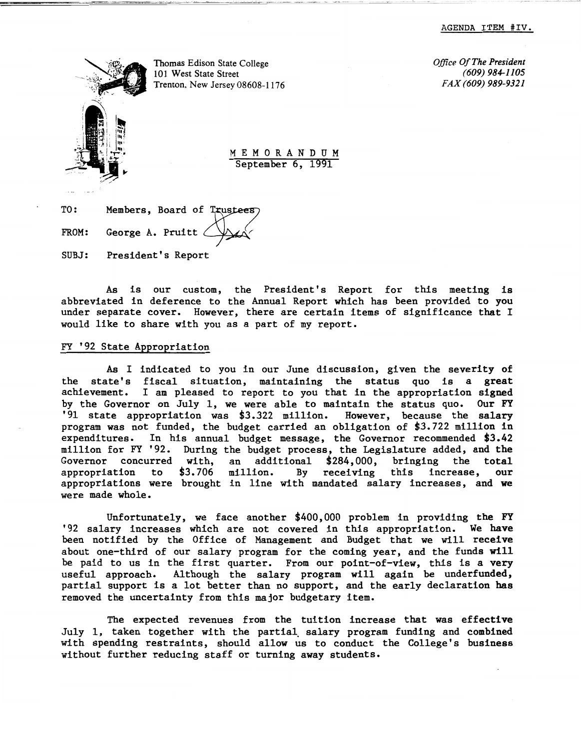

Thomas Edison State College *Office Of The President Office Of The President* **101** West State Street *(609)* 984-1105 101 West State Street *(609) 984-1105*   $T$ renton. New Jersey 08608-1176

M E M 0 R AN D UM September 6, 1991

TO: Members, Board of Trustees FROM: George A. Pruitt  $\triangle$ SUBJ: President's Report

As is our custom, the President's Report for this meeting is abbreviated in deference to the Annual Report which has been provided to you under separate cover. However, there are certain items of significance that I would like to share with you as a part of my report.

#### FY '92 State Appropriation

As I indicated to you in our June discussion, given the severity of the state's fiscal situation, maintaining the status quo is a great achievement. I am pleased to report to you that in the appropriation signed by the Governor on July 1, we were able to maintain the status quo. Our FY<br>'91 state appropriation was \$3.322 million. However, because the salary '91 state appropriation was \$3.322 million. program was not funded, the budget carried an obligation of \$3.722 million in expenditures. In his annual budget message, the Governor recommended \$3.42 million for FY '92. During the budget process, the Legislature added, and the Governor concurred with, an additional \$284,000, bringing the total appropriation to \$3.706 million. By receiving this increase, our appropriation to \$3.706 million. By receiving this increase, our appropriations were brought in line with mandated salary increases, and we were made whole.

Unfortunately, we face another \$400,000 problem in providing the FY '92 salary increases which are not covered in this appropriation. We have been notified by the Office of Management and Budget that we will receive about one-third of our salary program for the coming year, and the funds will be paid to us in the first quarter. From our point-of-view, this is a very useful approach. Although the salary program will again be underfunded, partial support is a lot better than no support, and the early declaration has removed the uncertainty from this major budgetary item.

The expected revenues from the tuition increase that was effective July 1, taken together with the partial. salary program funding and combined with spending restraints, should allow us to conduct the College's business without further reducing staff or turning away students.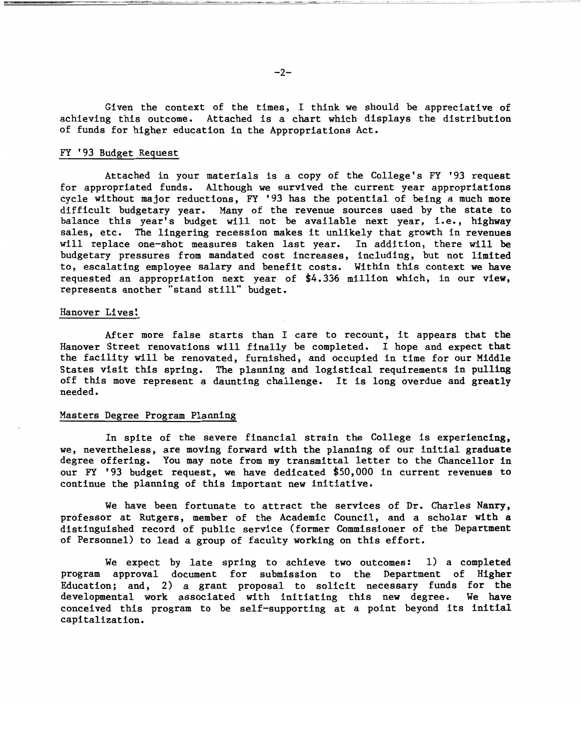Given the context of the times, I think we should be appreciative of achieving this outcome. Attached is a chart which displays the distribution of funds for higher education in the Appropriations Act.

## FY '93 Budget Request

Attached in your materials is a copy of the College's FY '93 request for appropriated funds. Although we survived the current year appropriations cycle without major reductions, FY '93 has the potential of being a much more difficult budgetary year. Many of the revenue sources used by the state to balance this year's budget will not be available next year, i.e., highway sales, etc. The lingering recession makes it unlikely that growth in revenues will replace one-shot measures taken last year. In addition, there will be budgetary pressures from mandated cost increases, including, but not limited to, escalating employee salary and benefit costs. Within this context we have requested an appropriation next year of \$4.336 million which, in our view, represents another "stand still" budget.

#### Hanover Lives!

After more false starts than I care to recount, it appears that the Hanover Street renovations will finally be completed. I hope and expect that the facility will be renovated, furnished, and occupied in time for our Middle States visit this spring. The planning and logistical requirements in pulling off this move represent a daunting challenge. It is long overdue and greatly needed.

# Masters Degree Program Planning

In spite of the severe financial strain the College is experiencing, we, nevertheless, are moving forward with the planning of our initial graduate degree offering. You may note from my transmittal letter to the Chancellor in our FY '93 budget request, we have dedicated \$50,000 in current revenues to continue the planning of this important new initiative.

We have been fortunate to attract the services of Dr. Charles Nanry, professor at Rutgers, member of the Academic Council, and a scholar with a distinguished record of public service (former Commissioner of the Department of Personnel) to lead a group of faculty working on this effort.

We expect by late spring to achieve two outcomes: 1) a completed program approval document for submission to the Department of Higher Education; and, 2) a grant proposal to solicit necessary funds for the developmental work associated with initiating this new degree. We have conceived this program to be self-supporting at a point beyond its initial capitalization.

· -" i ~ <sup>j</sup>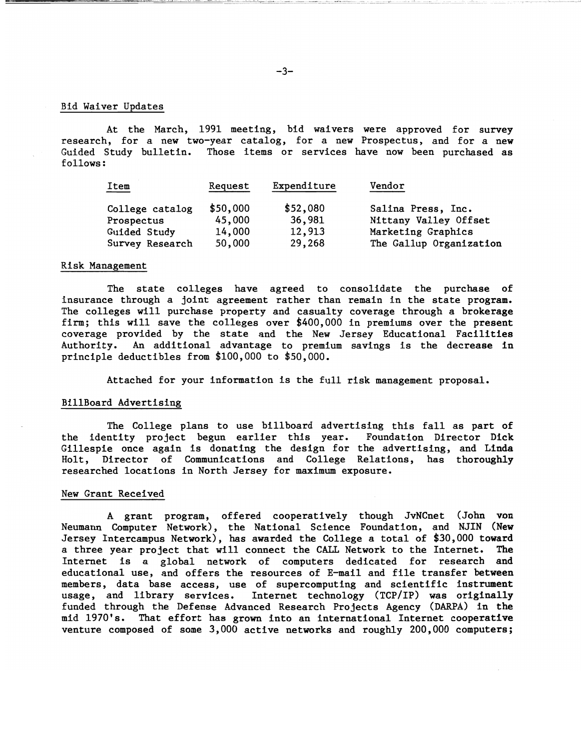# Bid Waiver Updates

At the March, 1991 meeting, bid waivers were approved for survey research, for a new two-year catalog, for a new Prospectus, and for a new Guided Study bulletin. Those items or services have now been purchased as follows:

| <b>Item</b>     | Request  | Expenditure | Vendor                  |
|-----------------|----------|-------------|-------------------------|
| College catalog | \$50,000 | \$52,080    | Salina Press, Inc.      |
| Prospectus      | 45,000   | 36,981      | Nittany Valley Offset   |
| Guided Study    | 14,000   | 12,913      | Marketing Graphics      |
| Survey Research | 50,000   | 29,268      | The Gallup Organization |

## Risk Management

The state colleges have agreed to consolidate the purchase of insurance through a joint agreement rather than remain in the state program. The colleges will purchase property and casualty coverage through a brokerage firm; this will save the colleges over \$400,000 in premiums over the present coverage provided by the state and the New Jersey Educational Facilities Authority. An additional advantage to premium savings is the decrease in principle deductibles from \$100,000 to \$50,000.

Attached for your information is the full risk management proposal.

## BillBoard Advertising

The College plans to use billboard advertising this fall as part of the identity project begun earlier this year. Foundation Director Dick Gillespie once again is donating the design for the advertising, and Linda Holt, Director of Communications and College Relations, has thoroughly researched locations in North Jersey for maximum exposure.

#### New Grant Received

A grant program, offered cooperatively though JvNCnet (John von Neumann Computer Network), the National Science Foundation, and NJIN (New Jersey Intercampus Network), has awarded the College a total of \$30,000 toward a three year project that will connect the CALL Network to the Internet. The Internet is a global network of computers dedicated for research and educational use, and offers the resources of E-mail and file transfer between members, data base access, use of supercomputing and scientific instrument usage, and library services. Internet technology (TCP/IP) was originally funded through the Defense Advanced Research Projects Agency (DARPA) in the mid 1970's. That effort has grown into an international Internet cooperative venture composed of some 3,000 active networks and roughly 200,000 computers;